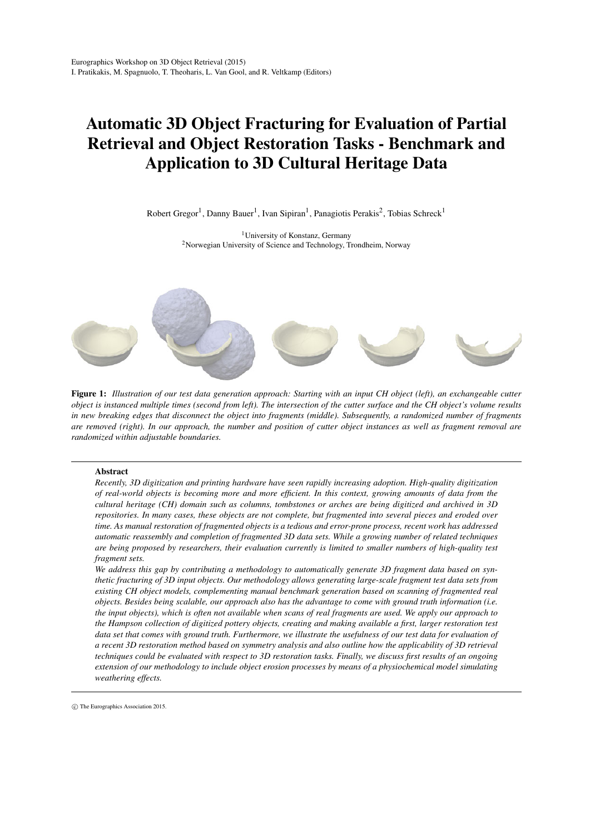# Automatic 3D Object Fracturing for Evaluation of Partial Retrieval and Object Restoration Tasks - Benchmark and Application to 3D Cultural Heritage Data

Robert Gregor<sup>1</sup>, Danny Bauer<sup>1</sup>, Ivan Sipiran<sup>1</sup>, Panagiotis Perakis<sup>2</sup>, Tobias Schreck<sup>1</sup>

<sup>1</sup>University of Konstanz, Germany <sup>2</sup>Norwegian University of Science and Technology, Trondheim, Norway



<span id="page-0-1"></span>Figure 1: *Illustration of our test data generation approach: Starting with an input CH object (left), an exchangeable cutter object is instanced multiple times (second from left). The intersection of the cutter surface and the CH object's volume results in new breaking edges that disconnect the object into fragments (middle). Subsequently, a randomized number of fragments are removed (right). In our approach, the number and position of cutter object instances as well as fragment removal are randomized within adjustable boundaries.*

# Abstract

*Recently, 3D digitization and printing hardware have seen rapidly increasing adoption. High-quality digitization of real-world objects is becoming more and more efficient. In this context, growing amounts of data from the cultural heritage (CH) domain such as columns, tombstones or arches are being digitized and archived in 3D repositories. In many cases, these objects are not complete, but fragmented into several pieces and eroded over time. As manual restoration of fragmented objects is a tedious and error-prone process, recent work has addressed automatic reassembly and completion of fragmented 3D data sets. While a growing number of related techniques are being proposed by researchers, their evaluation currently is limited to smaller numbers of high-quality test fragment sets.*

*We address this gap by contributing a methodology to automatically generate 3D fragment data based on synthetic fracturing of 3D input objects. Our methodology allows generating large-scale fragment test data sets from existing CH object models, complementing manual benchmark generation based on scanning of fragmented real objects. Besides being scalable, our approach also has the advantage to come with ground truth information (i.e. the input objects), which is often not available when scans of real fragments are used. We apply our approach to the Hampson collection of digitized pottery objects, creating and making available a first, larger restoration test data set that comes with ground truth. Furthermore, we illustrate the usefulness of our test data for evaluation of a recent 3D restoration method based on symmetry analysis and also outline how the applicability of 3D retrieval techniques could be evaluated with respect to 3D restoration tasks. Finally, we discuss first results of an ongoing extension of our methodology to include object erosion processes by means of a physiochemical model simulating weathering effects.*

<span id="page-0-0"></span>c The Eurographics Association 2015.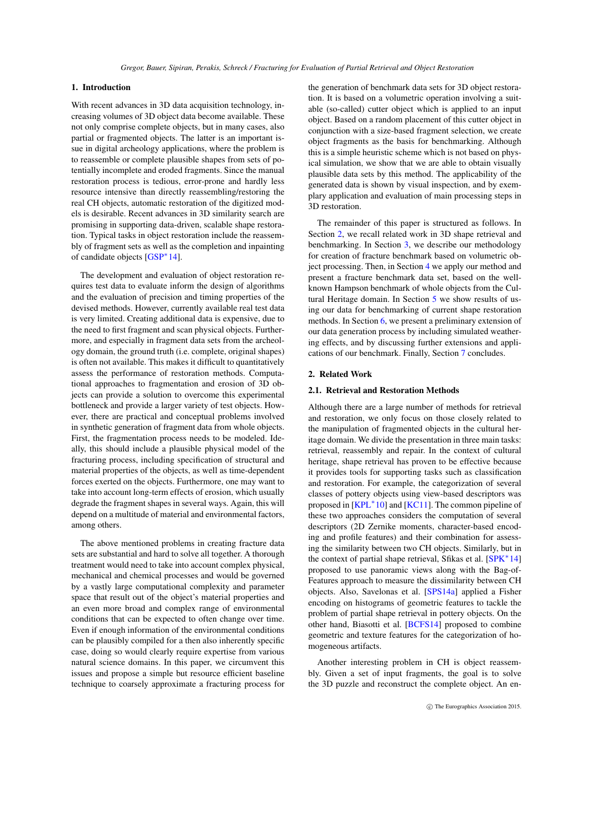# <span id="page-1-1"></span>1. Introduction

With recent advances in 3D data acquisition technology, increasing volumes of 3D object data become available. These not only comprise complete objects, but in many cases, also partial or fragmented objects. The latter is an important issue in digital archeology applications, where the problem is to reassemble or complete plausible shapes from sets of potentially incomplete and eroded fragments. Since the manual restoration process is tedious, error-prone and hardly less resource intensive than directly reassembling/restoring the real CH objects, automatic restoration of the digitized models is desirable. Recent advances in 3D similarity search are promising in supporting data-driven, scalable shape restoration. Typical tasks in object restoration include the reassembly of fragment sets as well as the completion and inpainting of candidate objects [\[GSP](#page-7-0)<sup>∗</sup> 14].

The development and evaluation of object restoration requires test data to evaluate inform the design of algorithms and the evaluation of precision and timing properties of the devised methods. However, currently available real test data is very limited. Creating additional data is expensive, due to the need to first fragment and scan physical objects. Furthermore, and especially in fragment data sets from the archeology domain, the ground truth (i.e. complete, original shapes) is often not available. This makes it difficult to quantitatively assess the performance of restoration methods. Computational approaches to fragmentation and erosion of 3D objects can provide a solution to overcome this experimental bottleneck and provide a larger variety of test objects. However, there are practical and conceptual problems involved in synthetic generation of fragment data from whole objects. First, the fragmentation process needs to be modeled. Ideally, this should include a plausible physical model of the fracturing process, including specification of structural and material properties of the objects, as well as time-dependent forces exerted on the objects. Furthermore, one may want to take into account long-term effects of erosion, which usually degrade the fragment shapes in several ways. Again, this will depend on a multitude of material and environmental factors, among others.

The above mentioned problems in creating fracture data sets are substantial and hard to solve all together. A thorough treatment would need to take into account complex physical, mechanical and chemical processes and would be governed by a vastly large computational complexity and parameter space that result out of the object's material properties and an even more broad and complex range of environmental conditions that can be expected to often change over time. Even if enough information of the environmental conditions can be plausibly compiled for a then also inherently specific case, doing so would clearly require expertise from various natural science domains. In this paper, we circumvent this issues and propose a simple but resource efficient baseline technique to coarsely approximate a fracturing process for

the generation of benchmark data sets for 3D object restoration. It is based on a volumetric operation involving a suitable (so-called) cutter object which is applied to an input object. Based on a random placement of this cutter object in conjunction with a size-based fragment selection, we create object fragments as the basis for benchmarking. Although this is a simple heuristic scheme which is not based on physical simulation, we show that we are able to obtain visually plausible data sets by this method. The applicability of the generated data is shown by visual inspection, and by exemplary application and evaluation of main processing steps in 3D restoration.

The remainder of this paper is structured as follows. In Section [2,](#page-1-0) we recall related work in 3D shape retrieval and benchmarking. In Section [3,](#page-2-0) we describe our methodology for creation of fracture benchmark based on volumetric object processing. Then, in Section [4](#page-3-0) we apply our method and present a fracture benchmark data set, based on the wellknown Hampson benchmark of whole objects from the Cultural Heritage domain. In Section [5](#page-4-0) we show results of using our data for benchmarking of current shape restoration methods. In Section [6,](#page-5-0) we present a preliminary extension of our data generation process by including simulated weathering effects, and by discussing further extensions and applications of our benchmark. Finally, Section [7](#page-6-0) concludes.

# <span id="page-1-0"></span>2. Related Work

# 2.1. Retrieval and Restoration Methods

Although there are a large number of methods for retrieval and restoration, we only focus on those closely related to the manipulation of fragmented objects in the cultural heritage domain. We divide the presentation in three main tasks: retrieval, reassembly and repair. In the context of cultural heritage, shape retrieval has proven to be effective because it provides tools for supporting tasks such as classification and restoration. For example, the categorization of several classes of pottery objects using view-based descriptors was proposed in [\[KPL](#page-7-1)<sup>\*</sup>10] and [\[KC11\]](#page-7-2). The common pipeline of these two approaches considers the computation of several descriptors (2D Zernike moments, character-based encoding and profile features) and their combination for assessing the similarity between two CH objects. Similarly, but in the context of partial shape retrieval, Sfikas et al. [\[SPK](#page-7-3)<sup>∗</sup> 14] proposed to use panoramic views along with the Bag-of-Features approach to measure the dissimilarity between CH objects. Also, Savelonas et al. [\[SPS14a\]](#page-7-4) applied a Fisher encoding on histograms of geometric features to tackle the problem of partial shape retrieval in pottery objects. On the other hand, Biasotti et al. [\[BCFS14\]](#page-7-5) proposed to combine geometric and texture features for the categorization of homogeneous artifacts.

Another interesting problem in CH is object reassembly. Given a set of input fragments, the goal is to solve the 3D puzzle and reconstruct the complete object. An en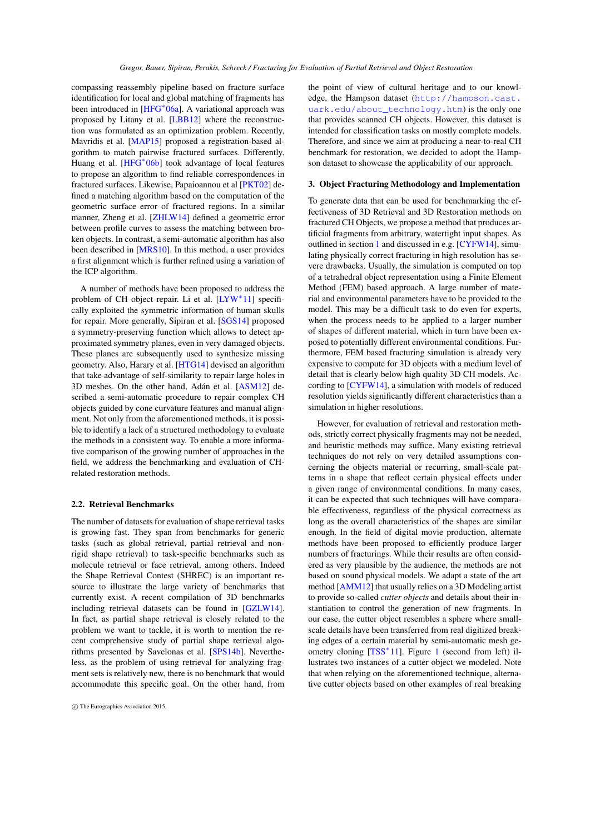<span id="page-2-1"></span>compassing reassembly pipeline based on fracture surface identification for local and global matching of fragments has been introduced in [\[HFG](#page-7-6)<sup>\*</sup>06a]. A variational approach was proposed by Litany et al. [\[LBB12\]](#page-7-7) where the reconstruction was formulated as an optimization problem. Recently, Mavridis et al. [\[MAP15\]](#page-7-8) proposed a registration-based algorithm to match pairwise fractured surfaces. Differently, Huang et al. [\[HFG](#page-7-9)<sup>\*</sup>06b] took advantage of local features to propose an algorithm to find reliable correspondences in fractured surfaces. Likewise, Papaioannou et al [\[PKT02\]](#page-7-10) defined a matching algorithm based on the computation of the geometric surface error of fractured regions. In a similar manner, Zheng et al. [\[ZHLW14\]](#page-7-11) defined a geometric error between profile curves to assess the matching between broken objects. In contrast, a semi-automatic algorithm has also been described in [\[MRS10\]](#page-7-12). In this method, a user provides a first alignment which is further refined using a variation of the ICP algorithm.

A number of methods have been proposed to address the problem of CH object repair. Li et al. [\[LYW](#page-7-13)<sup>\*</sup>11] specifically exploited the symmetric information of human skulls for repair. More generally, Sipiran et al. [\[SGS14\]](#page-7-14) proposed a symmetry-preserving function which allows to detect approximated symmetry planes, even in very damaged objects. These planes are subsequently used to synthesize missing geometry. Also, Harary et al. [\[HTG14\]](#page-7-15) devised an algorithm that take advantage of self-similarity to repair large holes in 3D meshes. On the other hand, Adán et al. [\[ASM12\]](#page-7-16) described a semi-automatic procedure to repair complex CH objects guided by cone curvature features and manual alignment. Not only from the aforementioned methods, it is possible to identify a lack of a structured methodology to evaluate the methods in a consistent way. To enable a more informative comparison of the growing number of approaches in the field, we address the benchmarking and evaluation of CHrelated restoration methods.

# 2.2. Retrieval Benchmarks

The number of datasets for evaluation of shape retrieval tasks is growing fast. They span from benchmarks for generic tasks (such as global retrieval, partial retrieval and nonrigid shape retrieval) to task-specific benchmarks such as molecule retrieval or face retrieval, among others. Indeed the Shape Retrieval Contest (SHREC) is an important resource to illustrate the large variety of benchmarks that currently exist. A recent compilation of 3D benchmarks including retrieval datasets can be found in [\[GZLW14\]](#page-7-17). In fact, as partial shape retrieval is closely related to the problem we want to tackle, it is worth to mention the recent comprehensive study of partial shape retrieval algorithms presented by Savelonas et al. [\[SPS14b\]](#page-7-18). Nevertheless, as the problem of using retrieval for analyzing fragment sets is relatively new, there is no benchmark that would accommodate this specific goal. On the other hand, from

the point of view of cultural heritage and to our knowledge, the Hampson dataset ([http://hampson.cast.](http://hampson.cast.uark.edu/about_technology.htm) [uark.edu/about\\_technology.htm](http://hampson.cast.uark.edu/about_technology.htm)) is the only one that provides scanned CH objects. However, this dataset is intended for classification tasks on mostly complete models. Therefore, and since we aim at producing a near-to-real CH benchmark for restoration, we decided to adopt the Hampson dataset to showcase the applicability of our approach.

# <span id="page-2-0"></span>3. Object Fracturing Methodology and Implementation

To generate data that can be used for benchmarking the effectiveness of 3D Retrieval and 3D Restoration methods on fractured CH Objects, we propose a method that produces artificial fragments from arbitrary, watertight input shapes. As outlined in section [1](#page-0-0) and discussed in e.g. [\[CYFW14\]](#page-7-19), simulating physically correct fracturing in high resolution has severe drawbacks. Usually, the simulation is computed on top of a tetrahedral object representation using a Finite Element Method (FEM) based approach. A large number of material and environmental parameters have to be provided to the model. This may be a difficult task to do even for experts, when the process needs to be applied to a larger number of shapes of different material, which in turn have been exposed to potentially different environmental conditions. Furthermore, FEM based fracturing simulation is already very expensive to compute for 3D objects with a medium level of detail that is clearly below high quality 3D CH models. According to [\[CYFW14\]](#page-7-19), a simulation with models of reduced resolution yields significantly different characteristics than a simulation in higher resolutions.

However, for evaluation of retrieval and restoration methods, strictly correct physically fragments may not be needed, and heuristic methods may suffice. Many existing retrieval techniques do not rely on very detailed assumptions concerning the objects material or recurring, small-scale patterns in a shape that reflect certain physical effects under a given range of environmental conditions. In many cases, it can be expected that such techniques will have comparable effectiveness, regardless of the physical correctness as long as the overall characteristics of the shapes are similar enough. In the field of digital movie production, alternate methods have been proposed to efficiently produce larger numbers of fracturings. While their results are often considered as very plausible by the audience, the methods are not based on sound physical models. We adapt a state of the art method [\[AMM12\]](#page-7-20) that usually relies on a 3D Modeling artist to provide so-called *cutter objects* and details about their instantiation to control the generation of new fragments. In our case, the cutter object resembles a sphere where smallscale details have been transferred from real digitized breaking edges of a certain material by semi-automatic mesh ge-ometry cloning [\[TSS](#page-7-21)<sup>\*</sup>[1](#page-0-1)1]. Figure 1 (second from left) illustrates two instances of a cutter object we modeled. Note that when relying on the aforementioned technique, alternative cutter objects based on other examples of real breaking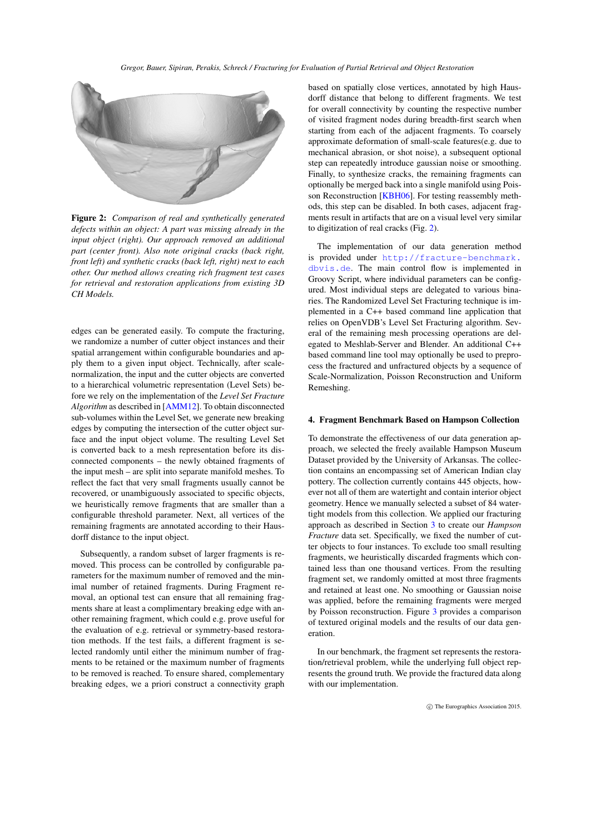<span id="page-3-2"></span>

Figure 2: *Comparison of real and synthetically generated defects within an object: A part was missing already in the input object (right). Our approach removed an additional part (center front). Also note original cracks (back right, front left) and synthetic cracks (back left, right) next to each other. Our method allows creating rich fragment test cases for retrieval and restoration applications from existing 3D CH Models.*

<span id="page-3-1"></span>edges can be generated easily. To compute the fracturing, we randomize a number of cutter object instances and their spatial arrangement within configurable boundaries and apply them to a given input object. Technically, after scalenormalization, the input and the cutter objects are converted to a hierarchical volumetric representation (Level Sets) before we rely on the implementation of the *Level Set Fracture Algorithm* as described in [\[AMM12\]](#page-7-20). To obtain disconnected sub-volumes within the Level Set, we generate new breaking edges by computing the intersection of the cutter object surface and the input object volume. The resulting Level Set is converted back to a mesh representation before its disconnected components – the newly obtained fragments of the input mesh – are split into separate manifold meshes. To reflect the fact that very small fragments usually cannot be recovered, or unambiguously associated to specific objects, we heuristically remove fragments that are smaller than a configurable threshold parameter. Next, all vertices of the remaining fragments are annotated according to their Hausdorff distance to the input object.

Subsequently, a random subset of larger fragments is removed. This process can be controlled by configurable parameters for the maximum number of removed and the minimal number of retained fragments. During Fragment removal, an optional test can ensure that all remaining fragments share at least a complimentary breaking edge with another remaining fragment, which could e.g. prove useful for the evaluation of e.g. retrieval or symmetry-based restoration methods. If the test fails, a different fragment is selected randomly until either the minimum number of fragments to be retained or the maximum number of fragments to be removed is reached. To ensure shared, complementary breaking edges, we a priori construct a connectivity graph based on spatially close vertices, annotated by high Hausdorff distance that belong to different fragments. We test for overall connectivity by counting the respective number of visited fragment nodes during breadth-first search when starting from each of the adjacent fragments. To coarsely approximate deformation of small-scale features(e.g. due to mechanical abrasion, or shot noise), a subsequent optional step can repeatedly introduce gaussian noise or smoothing. Finally, to synthesize cracks, the remaining fragments can optionally be merged back into a single manifold using Pois-son Reconstruction [\[KBH06\]](#page-7-22). For testing reassembly methods, this step can be disabled. In both cases, adjacent fragments result in artifacts that are on a visual level very similar to digitization of real cracks (Fig. [2\)](#page-3-1).

The implementation of our data generation method is provided under [http://fracture-benchmark.](http://fracture-benchmark.dbvis.de) [dbvis.de](http://fracture-benchmark.dbvis.de). The main control flow is implemented in Groovy Script, where individual parameters can be configured. Most individual steps are delegated to various binaries. The Randomized Level Set Fracturing technique is implemented in a C++ based command line application that relies on OpenVDB's Level Set Fracturing algorithm. Several of the remaining mesh processing operations are delegated to Meshlab-Server and Blender. An additional C++ based command line tool may optionally be used to preprocess the fractured and unfractured objects by a sequence of Scale-Normalization, Poisson Reconstruction and Uniform Remeshing.

# <span id="page-3-0"></span>4. Fragment Benchmark Based on Hampson Collection

To demonstrate the effectiveness of our data generation approach, we selected the freely available Hampson Museum Dataset provided by the University of Arkansas. The collection contains an encompassing set of American Indian clay pottery. The collection currently contains 445 objects, however not all of them are watertight and contain interior object geometry. Hence we manually selected a subset of 84 watertight models from this collection. We applied our fracturing approach as described in Section [3](#page-2-0) to create our *Hampson Fracture* data set. Specifically, we fixed the number of cutter objects to four instances. To exclude too small resulting fragments, we heuristically discarded fragments which contained less than one thousand vertices. From the resulting fragment set, we randomly omitted at most three fragments and retained at least one. No smoothing or Gaussian noise was applied, before the remaining fragments were merged by Poisson reconstruction. Figure [3](#page-4-1) provides a comparison of textured original models and the results of our data generation.

In our benchmark, the fragment set represents the restoration/retrieval problem, while the underlying full object represents the ground truth. We provide the fractured data along with our implementation.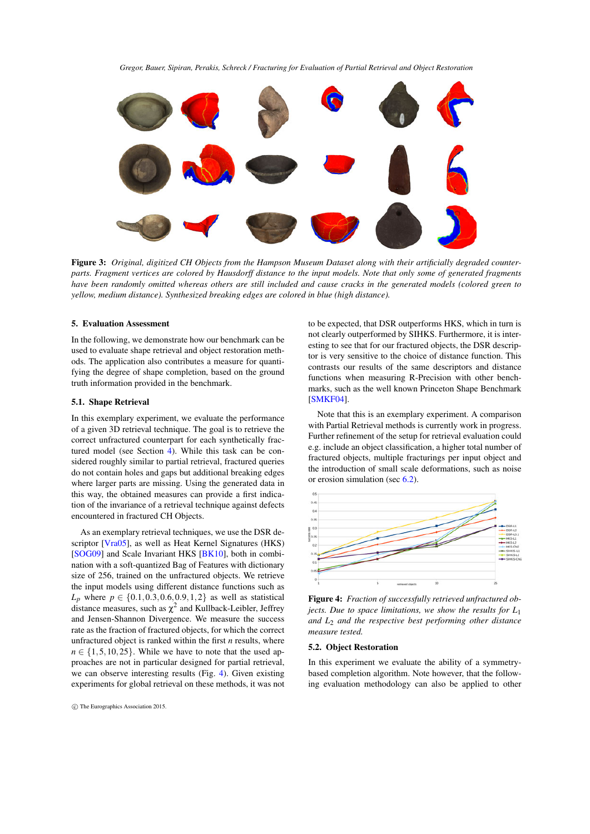<span id="page-4-3"></span>

Figure 3: *Original, digitized CH Objects from the Hampson Museum Dataset along with their artificially degraded counterparts. Fragment vertices are colored by Hausdorff distance to the input models. Note that only some of generated fragments have been randomly omitted whereas others are still included and cause cracks in the generated models (colored green to yellow, medium distance). Synthesized breaking edges are colored in blue (high distance).*

# <span id="page-4-1"></span><span id="page-4-0"></span>5. Evaluation Assessment

In the following, we demonstrate how our benchmark can be used to evaluate shape retrieval and object restoration methods. The application also contributes a measure for quantifying the degree of shape completion, based on the ground truth information provided in the benchmark.

#### 5.1. Shape Retrieval

In this exemplary experiment, we evaluate the performance of a given 3D retrieval technique. The goal is to retrieve the correct unfractured counterpart for each synthetically fractured model (see Section [4\)](#page-3-0). While this task can be considered roughly similar to partial retrieval, fractured queries do not contain holes and gaps but additional breaking edges where larger parts are missing. Using the generated data in this way, the obtained measures can provide a first indication of the invariance of a retrieval technique against defects encountered in fractured CH Objects.

As an exemplary retrieval techniques, we use the DSR descriptor [\[Vra05\]](#page-7-23), as well as Heat Kernel Signatures (HKS) [\[SOG09\]](#page-7-24) and Scale Invariant HKS [\[BK10\]](#page-7-25), both in combination with a soft-quantized Bag of Features with dictionary size of 256, trained on the unfractured objects. We retrieve the input models using different distance functions such as *L*<sup>*p*</sup> where  $p \in \{0.1, 0.3, 0.6, 0.9, 1, 2\}$  as well as statistical distance measures, such as  $\chi^2$  and Kullback-Leibler, Jeffrey and Jensen-Shannon Divergence. We measure the success rate as the fraction of fractured objects, for which the correct unfractured object is ranked within the first *n* results, where  $n \in \{1, 5, 10, 25\}$ . While we have to note that the used approaches are not in particular designed for partial retrieval, we can observe interesting results (Fig. [4\)](#page-4-2). Given existing experiments for global retrieval on these methods, it was not

to be expected, that DSR outperforms HKS, which in turn is not clearly outperformed by SIHKS. Furthermore, it is interesting to see that for our fractured objects, the DSR descriptor is very sensitive to the choice of distance function. This contrasts our results of the same descriptors and distance functions when measuring R-Precision with other benchmarks, such as the well known Princeton Shape Benchmark [\[SMKF04\]](#page-7-26).

Note that this is an exemplary experiment. A comparison with Partial Retrieval methods is currently work in progress. Further refinement of the setup for retrieval evaluation could e.g. include an object classification, a higher total number of fractured objects, multiple fracturings per input object and the introduction of small scale deformations, such as noise or erosion simulation (sec [6.2\)](#page-6-1).



<span id="page-4-2"></span>Figure 4: *Fraction of successfully retrieved unfractured objects. Due to space limitations, we show the results for L*<sup>1</sup> *and L*<sup>2</sup> *and the respective best performing other distance measure tested.*

### 5.2. Object Restoration

In this experiment we evaluate the ability of a symmetrybased completion algorithm. Note however, that the following evaluation methodology can also be applied to other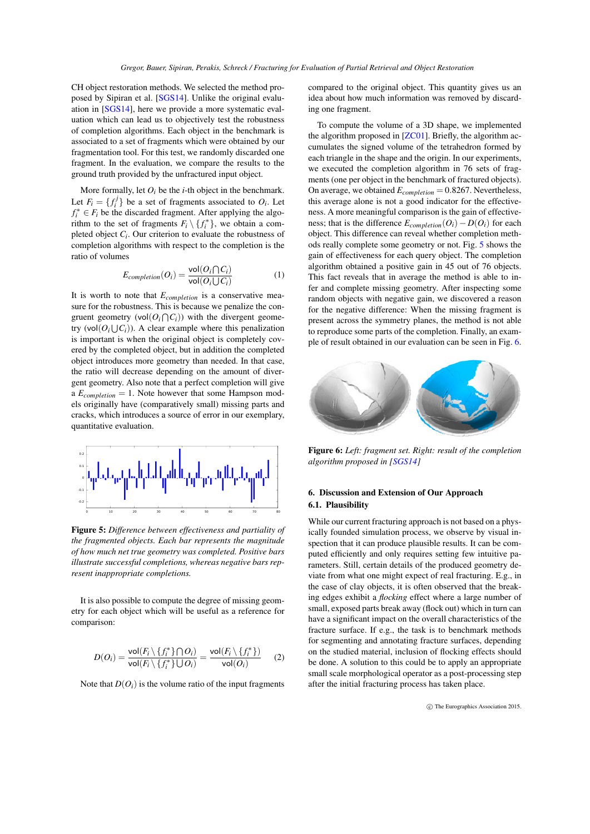<span id="page-5-3"></span>CH object restoration methods. We selected the method proposed by Sipiran et al. [\[SGS14\]](#page-7-14). Unlike the original evaluation in [\[SGS14\]](#page-7-14), here we provide a more systematic evaluation which can lead us to objectively test the robustness of completion algorithms. Each object in the benchmark is associated to a set of fragments which were obtained by our fragmentation tool. For this test, we randomly discarded one fragment. In the evaluation, we compare the results to the ground truth provided by the unfractured input object.

More formally, let  $O_i$  be the *i*-th object in the benchmark. Let  $F_i = \{f_i^j\}$  be a set of fragments associated to  $O_i$ . Let  $f_i^* \in F_i$  be the discarded fragment. After applying the algorithm to the set of fragments  $F_i \setminus \{f_i^*\}$ , we obtain a completed object *Ci* . Our criterion to evaluate the robustness of completion algorithms with respect to the completion is the ratio of volumes

$$
E_{completion}(O_i) = \frac{\text{vol}(O_i \cap C_i)}{\text{vol}(O_i \cup C_i)}\tag{1}
$$

It is worth to note that *Ecompletion* is a conservative measure for the robustness. This is because we penalize the congruent geometry (vol $(O_i \cap C_i)$ ) with the divergent geometry (vol $(O_i \cup C_i)$ ). A clear example where this penalization is important is when the original object is completely covered by the completed object, but in addition the completed object introduces more geometry than needed. In that case, the ratio will decrease depending on the amount of divergent geometry. Also note that a perfect completion will give a *Ecompletion* = 1. Note however that some Hampson models originally have (comparatively small) missing parts and cracks, which introduces a source of error in our exemplary, quantitative evaluation.



<span id="page-5-1"></span>Figure 5: *Difference between effectiveness and partiality of the fragmented objects. Each bar represents the magnitude of how much net true geometry was completed. Positive bars illustrate successful completions, whereas negative bars represent inappropriate completions.*

It is also possible to compute the degree of missing geometry for each object which will be useful as a reference for comparison:

$$
D(O_i) = \frac{\text{vol}(F_i \setminus \{f_i^*\} \cap O_i)}{\text{vol}(F_i \setminus \{f_i^*\} \cup O_i)} = \frac{\text{vol}(F_i \setminus \{f_i^*\})}{\text{vol}(O_i)} \qquad (2)
$$

Note that  $D(O_i)$  is the volume ratio of the input fragments

compared to the original object. This quantity gives us an idea about how much information was removed by discarding one fragment.

To compute the volume of a 3D shape, we implemented the algorithm proposed in [\[ZC01\]](#page-7-27). Briefly, the algorithm accumulates the signed volume of the tetrahedron formed by each triangle in the shape and the origin. In our experiments, we executed the completion algorithm in 76 sets of fragments (one per object in the benchmark of fractured objects). On average, we obtained *Ecompletion* = 0.8267. Nevertheless, this average alone is not a good indicator for the effectiveness. A more meaningful comparison is the gain of effectiveness; that is the difference  $E_{completion}(O_i) - D(O_i)$  for each object. This difference can reveal whether completion methods really complete some geometry or not. Fig. [5](#page-5-1) shows the gain of effectiveness for each query object. The completion algorithm obtained a positive gain in 45 out of 76 objects. This fact reveals that in average the method is able to infer and complete missing geometry. After inspecting some random objects with negative gain, we discovered a reason for the negative difference: When the missing fragment is present across the symmetry planes, the method is not able to reproduce some parts of the completion. Finally, an example of result obtained in our evaluation can be seen in Fig. [6.](#page-5-2)



<span id="page-5-2"></span>Figure 6: *Left: fragment set. Right: result of the completion algorithm proposed in [\[SGS14\]](#page-7-14)*

# <span id="page-5-0"></span>6. Discussion and Extension of Our Approach 6.1. Plausibility

While our current fracturing approach is not based on a physically founded simulation process, we observe by visual inspection that it can produce plausible results. It can be computed efficiently and only requires setting few intuitive parameters. Still, certain details of the produced geometry deviate from what one might expect of real fracturing. E.g., in the case of clay objects, it is often observed that the breaking edges exhibit a *flocking* effect where a large number of small, exposed parts break away (flock out) which in turn can have a significant impact on the overall characteristics of the fracture surface. If e.g., the task is to benchmark methods for segmenting and annotating fracture surfaces, depending on the studied material, inclusion of flocking effects should be done. A solution to this could be to apply an appropriate small scale morphological operator as a post-processing step after the initial fracturing process has taken place.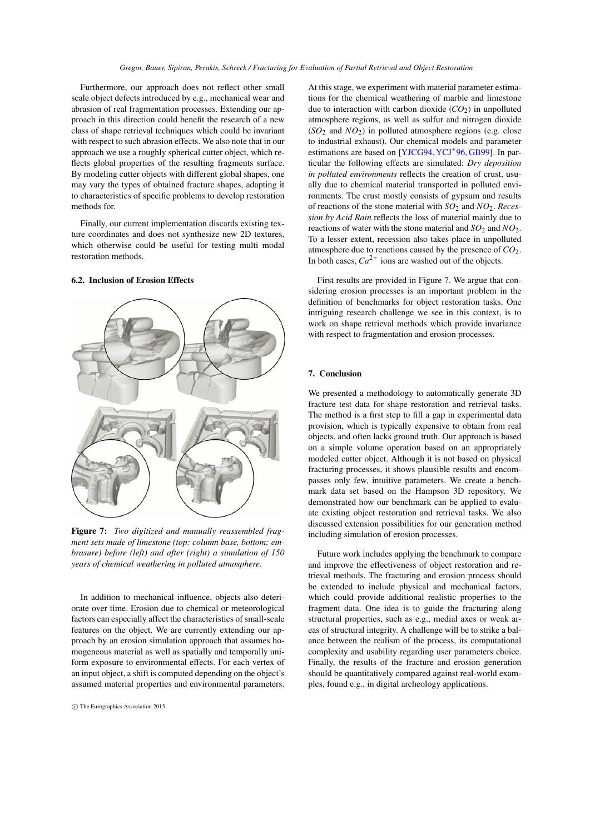<span id="page-6-3"></span>Furthermore, our approach does not reflect other small scale object defects introduced by e.g., mechanical wear and abrasion of real fragmentation processes. Extending our approach in this direction could benefit the research of a new class of shape retrieval techniques which could be invariant with respect to such abrasion effects. We also note that in our approach we use a roughly spherical cutter object, which reflects global properties of the resulting fragments surface. By modeling cutter objects with different global shapes, one may vary the types of obtained fracture shapes, adapting it to characteristics of specific problems to develop restoration methods for.

Finally, our current implementation discards existing texture coordinates and does not synthesize new 2D textures, which otherwise could be useful for testing multi modal restoration methods.

### <span id="page-6-1"></span>6.2. Inclusion of Erosion Effects

<span id="page-6-2"></span>Figure 7: *Two digitized and manually reassembled fragment sets made of limestone (top: column base, bottom: embrasure) before (left) and after (right) a simulation of 150 years of chemical weathering in polluted atmosphere.*

In addition to mechanical influence, objects also deteriorate over time. Erosion due to chemical or meteorological factors can especially affect the characteristics of small-scale features on the object. We are currently extending our approach by an erosion simulation approach that assumes homogeneous material as well as spatially and temporally uniform exposure to environmental effects. For each vertex of an input object, a shift is computed depending on the object's assumed material properties and environmental parameters.

At this stage, we experiment with material parameter estimations for the chemical weathering of marble and limestone due to interaction with carbon dioxide  $(CO<sub>2</sub>)$  in unpolluted atmosphere regions, as well as sulfur and nitrogen dioxide  $(SO<sub>2</sub>$  and  $NO<sub>2</sub>)$  in polluted atmosphere regions (e.g. close to industrial exhaust). Our chemical models and parameter estimations are based on [\[YJCG94,](#page-7-28) [YCJ](#page-7-29)<sup>\*</sup>96, [GB99\]](#page-7-30). In particular the following effects are simulated: *Dry deposition in polluted environments* reflects the creation of crust, usually due to chemical material transported in polluted environments. The crust mostly consists of gypsum and results of reactions of the stone material with *SO*<sup>2</sup> and *NO*2. *Recession by Acid Rain* reflects the loss of material mainly due to reactions of water with the stone material and  $SO_2$  and  $NO_2$ . To a lesser extent, recession also takes place in unpolluted atmosphere due to reactions caused by the presence of *CO*2. In both cases,  $Ca^{2+}$  ions are washed out of the objects.

First results are provided in Figure [7.](#page-6-2) We argue that considering erosion processes is an important problem in the definition of benchmarks for object restoration tasks. One intriguing research challenge we see in this context, is to work on shape retrieval methods which provide invariance with respect to fragmentation and erosion processes.

# <span id="page-6-0"></span>7. Conclusion

We presented a methodology to automatically generate 3D fracture test data for shape restoration and retrieval tasks. The method is a first step to fill a gap in experimental data provision, which is typically expensive to obtain from real objects, and often lacks ground truth. Our approach is based on a simple volume operation based on an appropriately modeled cutter object. Although it is not based on physical fracturing processes, it shows plausible results and encompasses only few, intuitive parameters. We create a benchmark data set based on the Hampson 3D repository. We demonstrated how our benchmark can be applied to evaluate existing object restoration and retrieval tasks. We also discussed extension possibilities for our generation method including simulation of erosion processes.

Future work includes applying the benchmark to compare and improve the effectiveness of object restoration and retrieval methods. The fracturing and erosion process should be extended to include physical and mechanical factors, which could provide additional realistic properties to the fragment data. One idea is to guide the fracturing along structural properties, such as e.g., medial axes or weak areas of structural integrity. A challenge will be to strike a balance between the realism of the process, its computational complexity and usability regarding user parameters choice. Finally, the results of the fracture and erosion generation should be quantitatively compared against real-world examples, found e.g., in digital archeology applications.